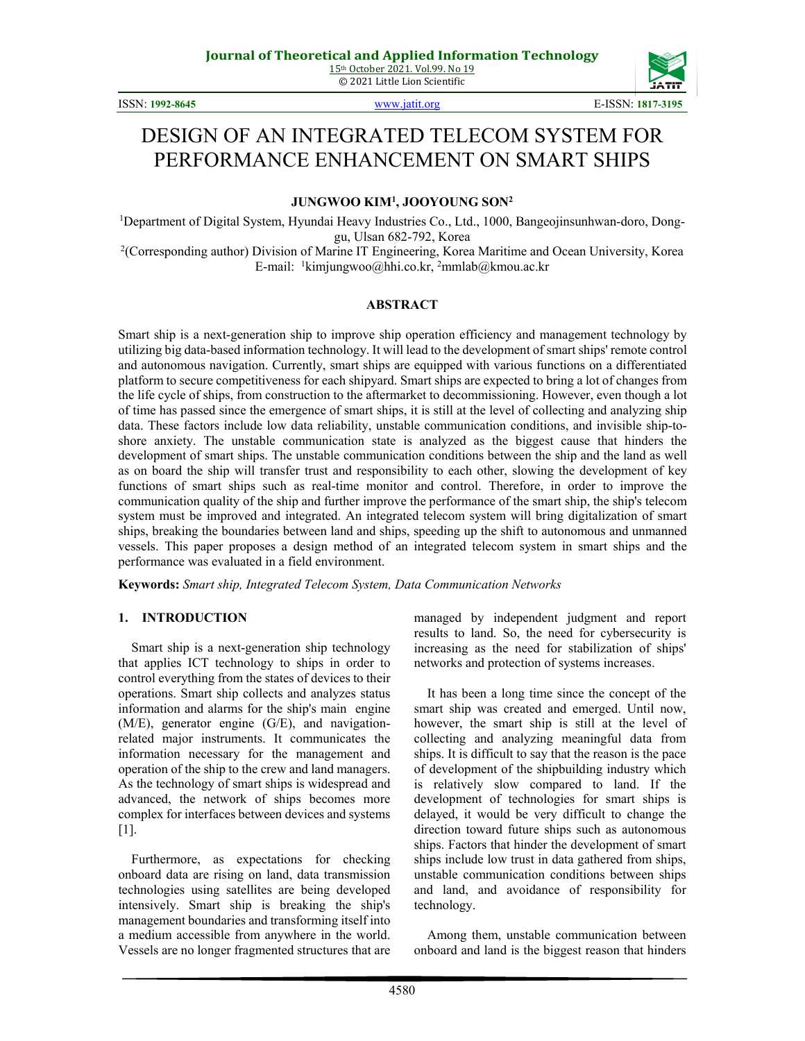

ISSN: **1992-8645** [www.jatit.org](http://www.jatit.org/) E-ISSN: **1817-3195**

# DESIGN OF AN INTEGRATED TELECOM SYSTEM FOR PERFORMANCE ENHANCEMENT ON SMART SHIPS

**JUNGWOO KIM1 , JOOYOUNG SON2**

<sup>1</sup>Department of Digital System, Hyundai Heavy Industries Co., Ltd., 1000, Bangeojinsunhwan-doro, Donggu, Ulsan 682-792, Korea

2 (Corresponding author) Division of Marine IT Engineering, Korea Maritime and Ocean University, Korea E-mail: <sup>1</sup>kimjungwoo@hhi.co.kr, <sup>2</sup>mmlab@kmou.ac.kr

#### **ABSTRACT**

Smart ship is a next-generation ship to improve ship operation efficiency and management technology by utilizing big data-based information technology. It will lead to the development of smart ships' remote control and autonomous navigation. Currently, smart ships are equipped with various functions on a differentiated platform to secure competitiveness for each shipyard. Smart ships are expected to bring a lot of changes from the life cycle of ships, from construction to the aftermarket to decommissioning. However, even though a lot of time has passed since the emergence of smart ships, it is still at the level of collecting and analyzing ship data. These factors include low data reliability, unstable communication conditions, and invisible ship-toshore anxiety. The unstable communication state is analyzed as the biggest cause that hinders the development of smart ships. The unstable communication conditions between the ship and the land as well as on board the ship will transfer trust and responsibility to each other, slowing the development of key functions of smart ships such as real-time monitor and control. Therefore, in order to improve the communication quality of the ship and further improve the performance of the smart ship, the ship's telecom system must be improved and integrated. An integrated telecom system will bring digitalization of smart ships, breaking the boundaries between land and ships, speeding up the shift to autonomous and unmanned vessels. This paper proposes a design method of an integrated telecom system in smart ships and the performance was evaluated in a field environment.

**Keywords:** *Smart ship, Integrated Telecom System, Data Communication Networks*

#### **1. INTRODUCTION**

Smart ship is a next-generation ship technology that applies ICT technology to ships in order to control everything from the states of devices to their operations. Smart ship collects and analyzes status information and alarms for the ship's main engine (M/E), generator engine (G/E), and navigationrelated major instruments. It communicates the information necessary for the management and operation of the ship to the crew and land managers. As the technology of smart ships is widespread and advanced, the network of ships becomes more complex for interfaces between devices and systems [1].

Furthermore, as expectations for checking onboard data are rising on land, data transmission technologies using satellites are being developed intensively. Smart ship is breaking the ship's management boundaries and transforming itself into a medium accessible from anywhere in the world. Vessels are no longer fragmented structures that are managed by independent judgment and report results to land. So, the need for cybersecurity is increasing as the need for stabilization of ships' networks and protection of systems increases.

It has been a long time since the concept of the smart ship was created and emerged. Until now, however, the smart ship is still at the level of collecting and analyzing meaningful data from ships. It is difficult to say that the reason is the pace of development of the shipbuilding industry which is relatively slow compared to land. If the development of technologies for smart ships is delayed, it would be very difficult to change the direction toward future ships such as autonomous ships. Factors that hinder the development of smart ships include low trust in data gathered from ships, unstable communication conditions between ships and land, and avoidance of responsibility for technology.

Among them, unstable communication between onboard and land is the biggest reason that hinders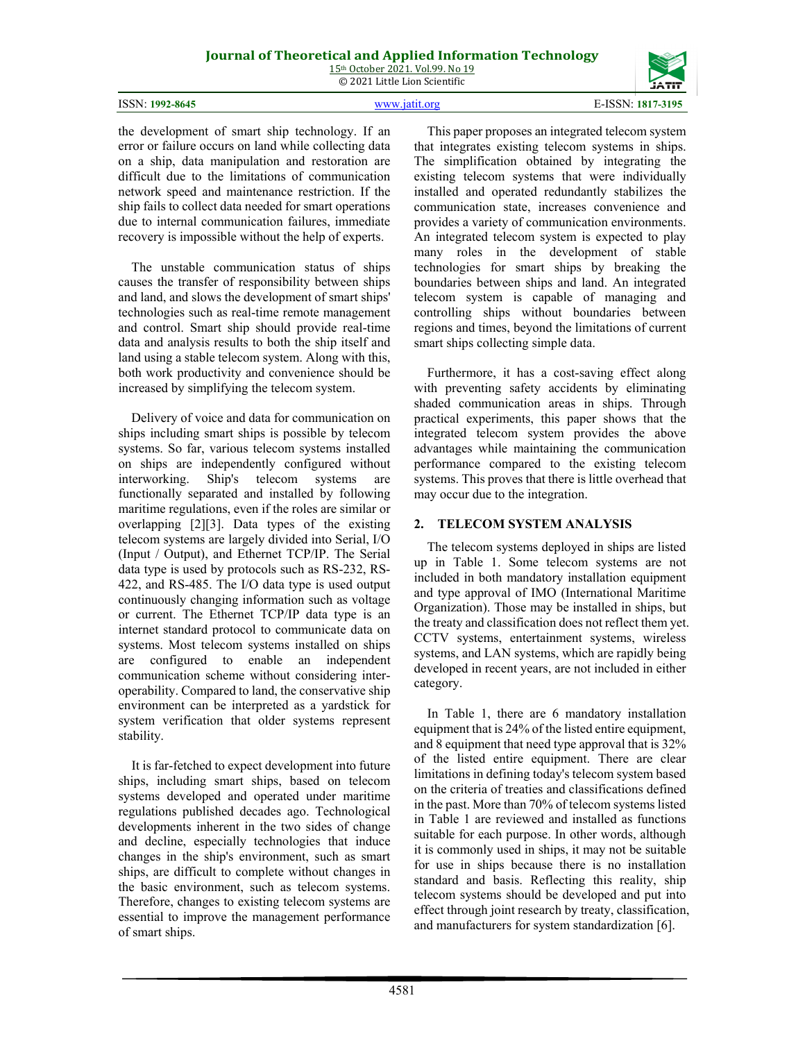## **Journal of Theoretical and Applied Information Technology**

15th October 2021. Vol.99. No 19 © 2021 Little Lion Scientific

ISSN: **1992-8645** [www.jatit.org](http://www.jatit.org/) E-ISSN: **1817-3195**

4581

This paper proposes an integrated telecom system that integrates existing telecom systems in ships. The simplification obtained by integrating the existing telecom systems that were individually installed and operated redundantly stabilizes the communication state, increases convenience and provides a variety of communication environments. An integrated telecom system is expected to play many roles in the development of stable technologies for smart ships by breaking the boundaries between ships and land. An integrated telecom system is capable of managing and controlling ships without boundaries between regions and times, beyond the limitations of current smart ships collecting simple data.

Furthermore, it has a cost-saving effect along with preventing safety accidents by eliminating shaded communication areas in ships. Through practical experiments, this paper shows that the integrated telecom system provides the above advantages while maintaining the communication performance compared to the existing telecom systems. This proves that there is little overhead that may occur due to the integration.

#### **2. TELECOM SYSTEM ANALYSIS**

The telecom systems deployed in ships are listed up in Table 1. Some telecom systems are not included in both mandatory installation equipment and type approval of IMO (International Maritime Organization). Those may be installed in ships, but the treaty and classification does not reflect them yet. CCTV systems, entertainment systems, wireless systems, and LAN systems, which are rapidly being developed in recent years, are not included in either category.

In Table 1, there are 6 mandatory installation equipment that is 24% of the listed entire equipment, and 8 equipment that need type approval that is 32% of the listed entire equipment. There are clear limitations in defining today's telecom system based on the criteria of treaties and classifications defined in the past. More than 70% of telecom systems listed in Table 1 are reviewed and installed as functions suitable for each purpose. In other words, although it is commonly used in ships, it may not be suitable for use in ships because there is no installation standard and basis. Reflecting this reality, ship telecom systems should be developed and put into effect through joint research by treaty, classification, and manufacturers for system standardization [6].

the development of smart ship technology. If an error or failure occurs on land while collecting data on a ship, data manipulation and restoration are difficult due to the limitations of communication network speed and maintenance restriction. If the ship fails to collect data needed for smart operations due to internal communication failures, immediate recovery is impossible without the help of experts.

The unstable communication status of ships causes the transfer of responsibility between ships and land, and slows the development of smart ships' technologies such as real-time remote management and control. Smart ship should provide real-time data and analysis results to both the ship itself and land using a stable telecom system. Along with this, both work productivity and convenience should be increased by simplifying the telecom system.

Delivery of voice and data for communication on ships including smart ships is possible by telecom systems. So far, various telecom systems installed on ships are independently configured without interworking. Ship's telecom systems are functionally separated and installed by following maritime regulations, even if the roles are similar or overlapping [2][3]. Data types of the existing telecom systems are largely divided into Serial, I/O (Input / Output), and Ethernet TCP/IP. The Serial data type is used by protocols such as RS-232, RS-422, and RS-485. The I/O data type is used output continuously changing information such as voltage or current. The Ethernet TCP/IP data type is an internet standard protocol to communicate data on systems. Most telecom systems installed on ships are configured to enable an independent communication scheme without considering interoperability. Compared to land, the conservative ship environment can be interpreted as a yardstick for system verification that older systems represent stability.

It is far-fetched to expect development into future ships, including smart ships, based on telecom systems developed and operated under maritime regulations published decades ago. Technological developments inherent in the two sides of change and decline, especially technologies that induce changes in the ship's environment, such as smart ships, are difficult to complete without changes in the basic environment, such as telecom systems. Therefore, changes to existing telecom systems are essential to improve the management performance of smart ships.

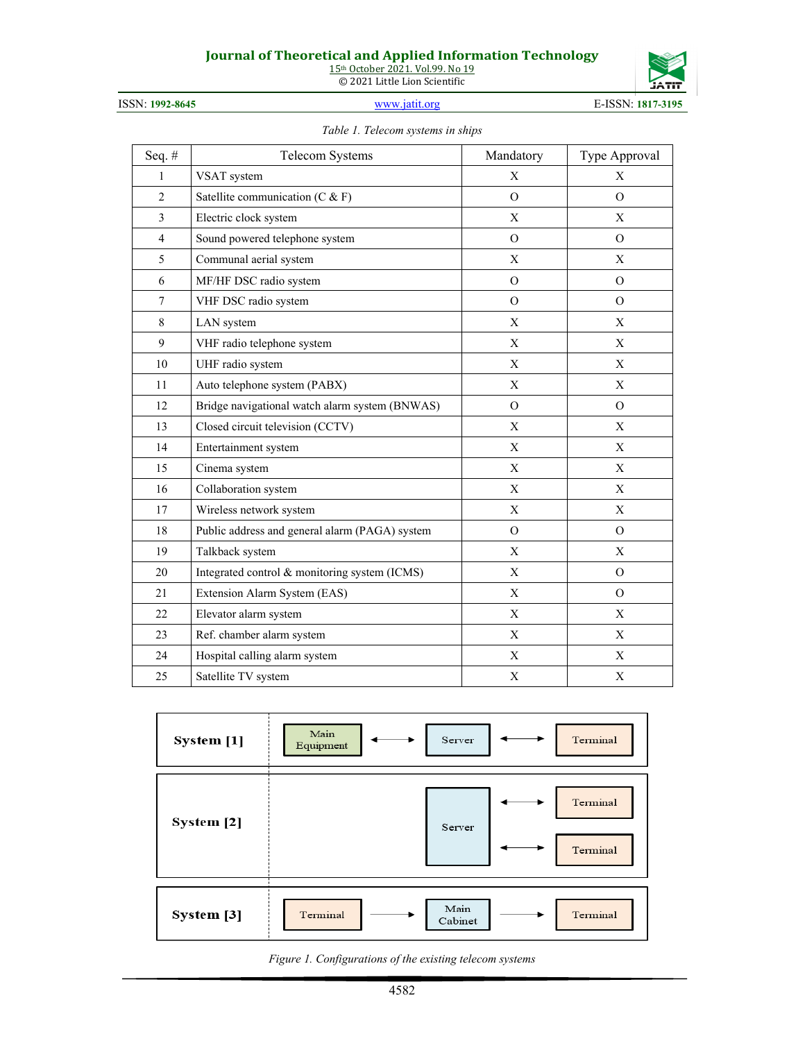### **Journal of Theoretical and Applied Information Technology**

15th October 2021. Vol.99. No 19 © 2021 Little Lion Scientific



| ISSN: 1992-8645 |  |
|-----------------|--|

ISSN: **1992-8645** [www.jatit.org](http://www.jatit.org/) E-ISSN: **1817-3195**

*Table 1. Telecom systems in ships*

| Seq.#          | Telecom Systems                                | Mandatory      | Type Approval  |
|----------------|------------------------------------------------|----------------|----------------|
| $\mathbf{1}$   | VSAT system                                    | X              | X              |
| $\overline{2}$ | Satellite communication (C & F)                | $\Omega$       | $\Omega$       |
| 3              | Electric clock system                          | X              | X              |
| 4              | Sound powered telephone system                 | $\mathbf{O}$   | $\overline{O}$ |
| 5              | Communal aerial system                         | X              | X              |
| 6              | MF/HF DSC radio system                         | $\Omega$       | $\Omega$       |
| $\overline{7}$ | VHF DSC radio system                           | $\overline{O}$ | $\overline{O}$ |
| 8              | LAN system                                     | $\mathbf{X}$   | X              |
| 9              | VHF radio telephone system                     | X              | X              |
| 10             | UHF radio system                               | X              | X              |
| 11             | Auto telephone system (PABX)                   | X              | X              |
| 12             | Bridge navigational watch alarm system (BNWAS) | $\Omega$       | $\overline{O}$ |
| 13             | Closed circuit television (CCTV)               | X              | X              |
| 14             | Entertainment system                           | X              | X              |
| 15             | Cinema system                                  | $\mathbf X$    | $\mathbf X$    |
| 16             | Collaboration system                           | X              | X              |
| 17             | Wireless network system                        | X              | X              |
| 18             | Public address and general alarm (PAGA) system | $\Omega$       | $\Omega$       |
| 19             | Talkback system                                | X              | X              |
| 20             | Integrated control & monitoring system (ICMS)  | X              | $\Omega$       |
| 21             | Extension Alarm System (EAS)                   | X              | $\Omega$       |
| 22             | Elevator alarm system                          | $\mathbf X$    | $\mathbf X$    |
| 23             | Ref. chamber alarm system                      | X              | X              |
| 24             | Hospital calling alarm system                  | X              | X              |
| 25             | Satellite TV system                            | $\mathbf X$    | X              |

| System [1] | Main<br>Server<br>Equipment | Terminal             |
|------------|-----------------------------|----------------------|
| System [2] | Server                      | Terminal<br>Terminal |
| System [3] | Main<br>Terminal<br>Cabinet | Terminal             |

*Figure 1. Configurations of the existing telecom systems*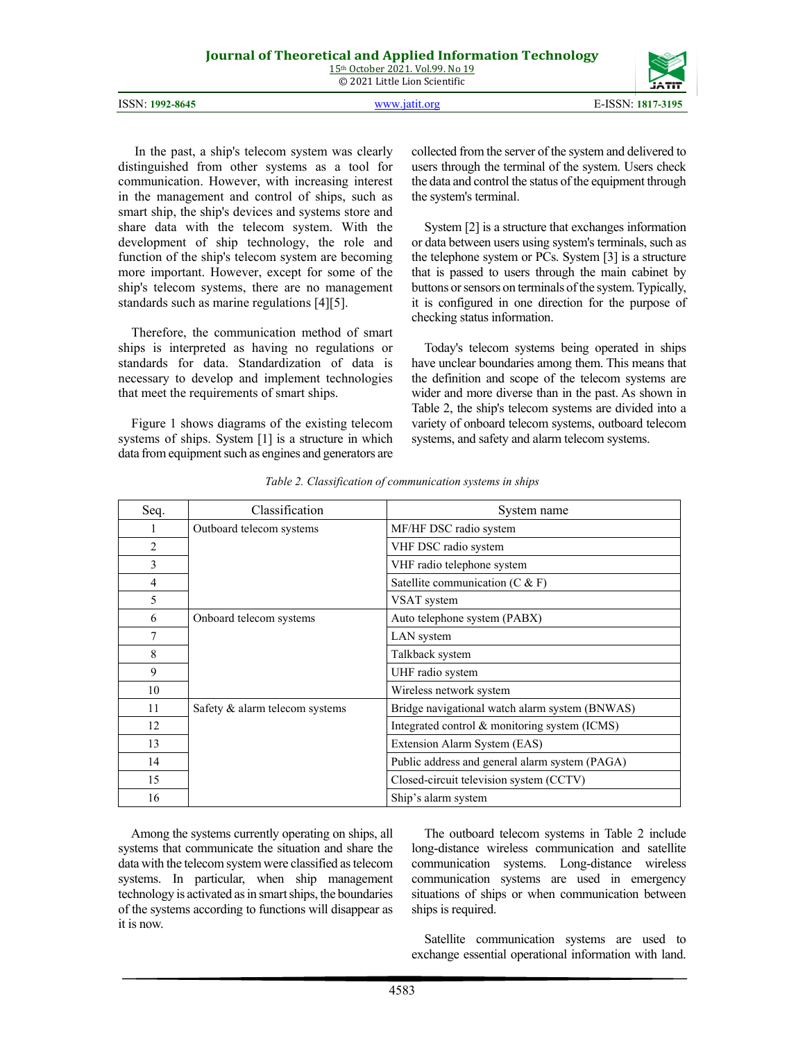| <b>Journal of Theoretical and Applied Information Technology</b> |  |
|------------------------------------------------------------------|--|
| 15 <sup>th</sup> October 2021, Vol.99, No 19                     |  |
| © 2021 Little Lion Scientific                                    |  |
|                                                                  |  |

| ISSN: 1992-8645 | www.jatit.org | E-ISSN: 1817-3195 |
|-----------------|---------------|-------------------|

In the past, a ship's telecom system was clearly distinguished from other systems as a tool for communication. However, with increasing interest in the management and control of ships, such as smart ship, the ship's devices and systems store and share data with the telecom system. With the development of ship technology, the role and function of the ship's telecom system are becoming more important. However, except for some of the ship's telecom systems, there are no management standards such as marine regulations [4][5].

Therefore, the communication method of smart ships is interpreted as having no regulations or standards for data. Standardization of data is necessary to develop and implement technologies that meet the requirements of smart ships.

Figure 1 shows diagrams of the existing telecom systems of ships. System [1] is a structure in which data from equipment such as engines and generators are

collected from the server of the system and delivered to users through the terminal of the system. Users check the data and control the status of the equipment through the system's terminal.

System [2] is a structure that exchanges information or data between users using system's terminals, such as the telephone system or PCs. System [3] is a structure that is passed to users through the main cabinet by buttons or sensors on terminals of the system. Typically, it is configured in one direction for the purpose of checking status information.

Today's telecom systems being operated in ships have unclear boundaries among them. This means that the definition and scope of the telecom systems are wider and more diverse than in the past. As shown in Table 2, the ship's telecom systems are divided into a variety of onboard telecom systems, outboard telecom systems, and safety and alarm telecom systems.

| Seq. | Classification                 | System name                                    |  |
|------|--------------------------------|------------------------------------------------|--|
| 1    | Outboard telecom systems       | MF/HF DSC radio system                         |  |
| 2    |                                | VHF DSC radio system                           |  |
| 3    |                                | VHF radio telephone system                     |  |
| 4    |                                | Satellite communication $(C & F)$              |  |
| 5    |                                | VSAT system                                    |  |
| 6    | Onboard telecom systems        | Auto telephone system (PABX)                   |  |
| 7    |                                | LAN system                                     |  |
| 8    |                                | Talkback system                                |  |
| 9    |                                | UHF radio system                               |  |
| 10   |                                | Wireless network system                        |  |
| 11   | Safety & alarm telecom systems | Bridge navigational watch alarm system (BNWAS) |  |
| 12   |                                | Integrated control & monitoring system (ICMS)  |  |
| 13   |                                | Extension Alarm System (EAS)                   |  |
| 14   |                                | Public address and general alarm system (PAGA) |  |
| 15   |                                | Closed-circuit television system (CCTV)        |  |
| 16   |                                | Ship's alarm system                            |  |

*Table 2. Classification of communication systems in ships*

Among the systems currently operating on ships, all systems that communicate the situation and share the data with the telecom system were classified as telecom systems. In particular, when ship management technology is activated as in smart ships, the boundaries of the systems according to functions will disappear as it is now.

The outboard telecom systems in Table 2 include long-distance wireless communication and satellite communication systems. Long-distance wireless communication systems are used in emergency situations of ships or when communication between ships is required.

Satellite communication systems are used to exchange essential operational information with land.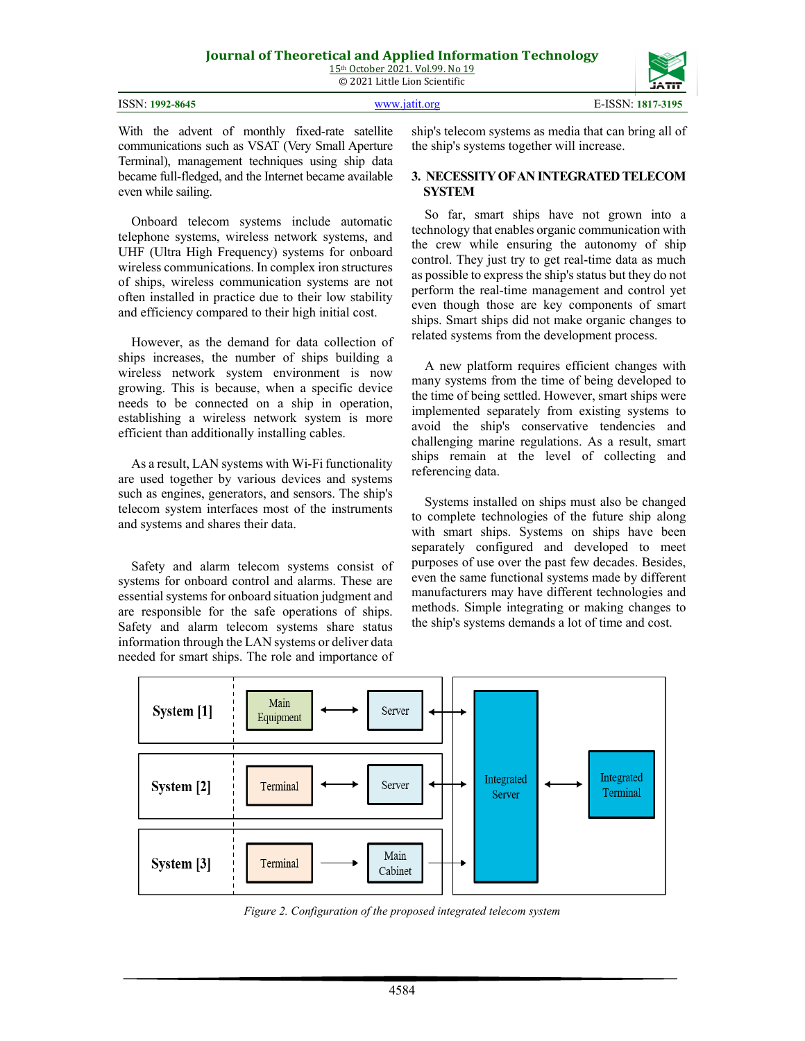|                 |               | ________          |
|-----------------|---------------|-------------------|
|                 |               |                   |
| ISSN: 1992-8645 | WWW 19111 Org | E-ISSN: 1817-3195 |

With the advent of monthly fixed-rate satellite communications such as VSAT (Very Small Aperture Terminal), management techniques using ship data became full-fledged, and the Internet became available even while sailing.

Onboard telecom systems include automatic telephone systems, wireless network systems, and UHF (Ultra High Frequency) systems for onboard wireless communications. In complex iron structures of ships, wireless communication systems are not often installed in practice due to their low stability and efficiency compared to their high initial cost.

However, as the demand for data collection of ships increases, the number of ships building a wireless network system environment is now growing. This is because, when a specific device needs to be connected on a ship in operation, establishing a wireless network system is more efficient than additionally installing cables.

As a result, LAN systems with Wi-Fi functionality are used together by various devices and systems such as engines, generators, and sensors. The ship's telecom system interfaces most of the instruments and systems and shares their data.

Safety and alarm telecom systems consist of systems for onboard control and alarms. These are essential systems for onboard situation judgment and are responsible for the safe operations of ships. Safety and alarm telecom systems share status information through the LAN systems or deliver data needed for smart ships. The role and importance of ship's telecom systems as media that can bring all of the ship's systems together will increase.

#### **3. NECESSITY OFAN INTEGRATED TELECOM SYSTEM**

So far, smart ships have not grown into a technology that enables organic communication with the crew while ensuring the autonomy of ship control. They just try to get real-time data as much as possible to express the ship's status but they do not perform the real-time management and control yet even though those are key components of smart ships. Smart ships did not make organic changes to related systems from the development process.

A new platform requires efficient changes with many systems from the time of being developed to the time of being settled. However, smart ships were implemented separately from existing systems to avoid the ship's conservative tendencies and challenging marine regulations. As a result, smart ships remain at the level of collecting and referencing data.

Systems installed on ships must also be changed to complete technologies of the future ship along with smart ships. Systems on ships have been separately configured and developed to meet purposes of use over the past few decades. Besides, even the same functional systems made by different manufacturers may have different technologies and methods. Simple integrating or making changes to the ship's systems demands a lot of time and cost.



*Figure 2. Configuration of the proposed integrated telecom system*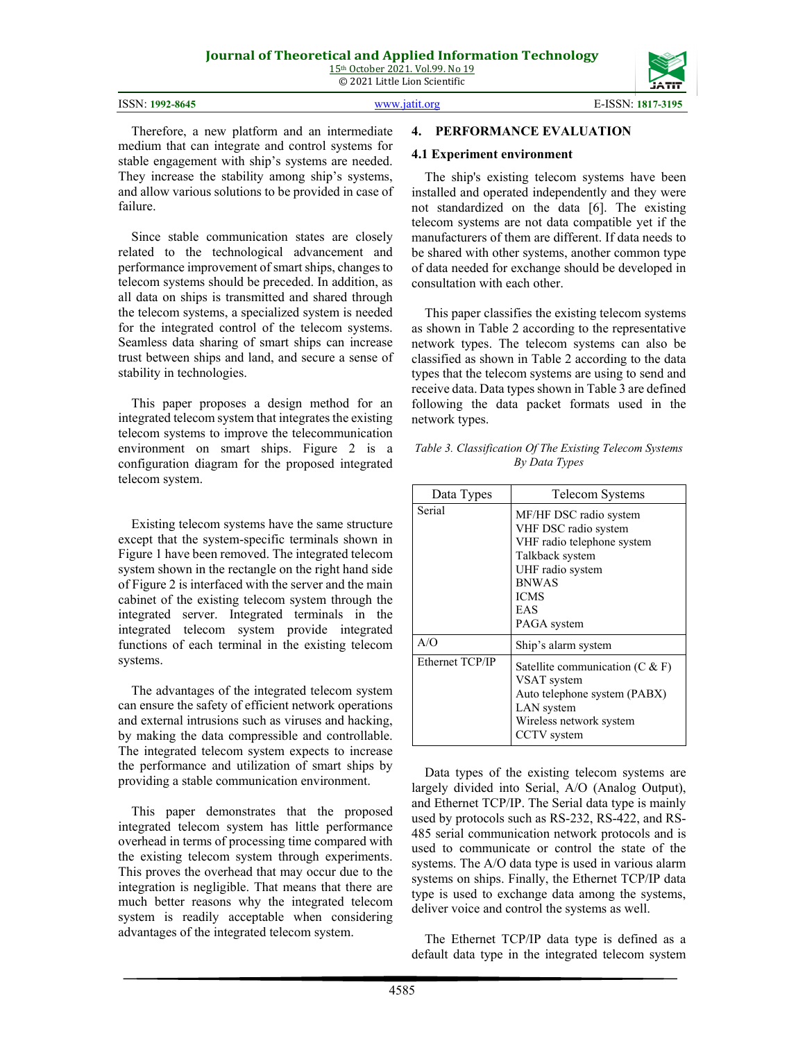| ISSN: 1992-8645 | www.jatit.org | E-ISSN: 1817-3195 |
|-----------------|---------------|-------------------|

Therefore, a new platform and an intermediate medium that can integrate and control systems for stable engagement with ship's systems are needed. They increase the stability among ship's systems, and allow various solutions to be provided in case of failure.

Since stable communication states are closely related to the technological advancement and performance improvement of smart ships, changes to telecom systems should be preceded. In addition, as all data on ships is transmitted and shared through the telecom systems, a specialized system is needed for the integrated control of the telecom systems. Seamless data sharing of smart ships can increase trust between ships and land, and secure a sense of stability in technologies.

This paper proposes a design method for an integrated telecom system that integrates the existing telecom systems to improve the telecommunication environment on smart ships. Figure 2 is a configuration diagram for the proposed integrated telecom system.

Existing telecom systems have the same structure except that the system-specific terminals shown in Figure 1 have been removed. The integrated telecom system shown in the rectangle on the right hand side of Figure 2 is interfaced with the server and the main cabinet of the existing telecom system through the integrated server. Integrated terminals in the integrated telecom system provide integrated functions of each terminal in the existing telecom systems.

The advantages of the integrated telecom system can ensure the safety of efficient network operations and external intrusions such as viruses and hacking, by making the data compressible and controllable. The integrated telecom system expects to increase the performance and utilization of smart ships by providing a stable communication environment.

This paper demonstrates that the proposed integrated telecom system has little performance overhead in terms of processing time compared with the existing telecom system through experiments. This proves the overhead that may occur due to the integration is negligible. That means that there are much better reasons why the integrated telecom system is readily acceptable when considering advantages of the integrated telecom system.

#### **4. PERFORMANCE EVALUATION**

#### **4.1 Experiment environment**

The ship's existing telecom systems have been installed and operated independently and they were not standardized on the data [6]. The existing telecom systems are not data compatible yet if the manufacturers of them are different. If data needs to be shared with other systems, another common type of data needed for exchange should be developed in consultation with each other.

This paper classifies the existing telecom systems as shown in Table 2 according to the representative network types. The telecom systems can also be classified as shown in Table 2 according to the data types that the telecom systems are using to send and receive data. Data types shown in Table 3 are defined following the data packet formats used in the network types.

*Table 3. Classification Of The Existing Telecom Systems By Data Types*

| Data Types      | <b>Telecom Systems</b>                                                                                                                                                   |
|-----------------|--------------------------------------------------------------------------------------------------------------------------------------------------------------------------|
| Serial          | MF/HF DSC radio system<br>VHF DSC radio system<br>VHF radio telephone system<br>Talkback system<br>UHF radio system<br><b>BNWAS</b><br><b>ICMS</b><br>EAS<br>PAGA system |
| A/O             | Ship's alarm system                                                                                                                                                      |
| Ethernet TCP/IP | Satellite communication $(C & F)$<br>VSAT system<br>Auto telephone system (PABX)<br>LAN system<br>Wireless network system<br>CCTV system                                 |

Data types of the existing telecom systems are largely divided into Serial, A/O (Analog Output), and Ethernet TCP/IP. The Serial data type is mainly used by protocols such as RS-232, RS-422, and RS-485 serial communication network protocols and is used to communicate or control the state of the systems. The A/O data type is used in various alarm systems on ships. Finally, the Ethernet TCP/IP data type is used to exchange data among the systems, deliver voice and control the systems as well.

The Ethernet TCP/IP data type is defined as a default data type in the integrated telecom system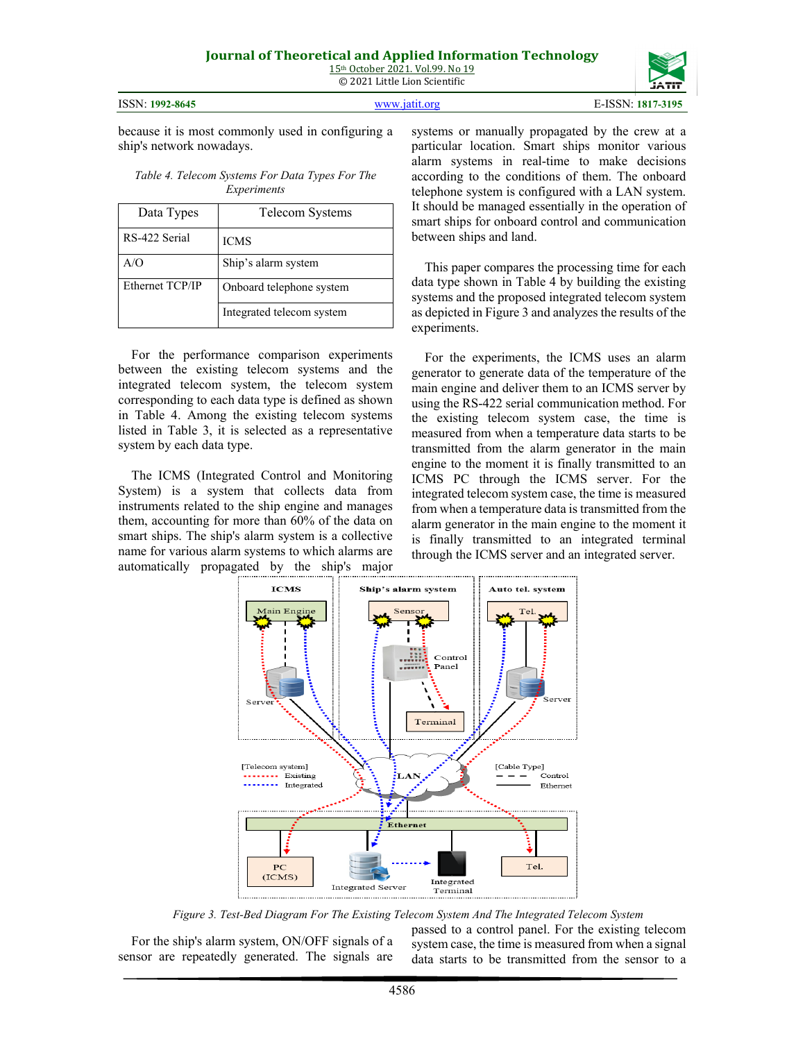ISSN: **1992-8645** [www.jatit.org](http://www.jatit.org/) E-ISSN: **1817-3195**

because it is most commonly used in configuring a ship's network nowadays.

*Table 4. Telecom Systems For Data Types For The Experiments*

| Data Types      | Telecom Systems           |
|-----------------|---------------------------|
| RS-422 Serial   | <b>ICMS</b>               |
| A/O             | Ship's alarm system       |
| Ethernet TCP/IP | Onboard telephone system  |
|                 | Integrated telecom system |

For the performance comparison experiments between the existing telecom systems and the integrated telecom system, the telecom system corresponding to each data type is defined as shown in Table 4. Among the existing telecom systems listed in Table 3, it is selected as a representative system by each data type.

The ICMS (Integrated Control and Monitoring System) is a system that collects data from instruments related to the ship engine and manages them, accounting for more than 60% of the data on smart ships. The ship's alarm system is a collective name for various alarm systems to which alarms are automatically propagated by the ship's major

systems or manually propagated by the crew at a particular location. Smart ships monitor various alarm systems in real-time to make decisions according to the conditions of them. The onboard telephone system is configured with a LAN system. It should be managed essentially in the operation of smart ships for onboard control and communication between ships and land.

This paper compares the processing time for each data type shown in Table 4 by building the existing systems and the proposed integrated telecom system as depicted in Figure 3 and analyzes the results of the experiments.

For the experiments, the ICMS uses an alarm generator to generate data of the temperature of the main engine and deliver them to an ICMS server by using the RS-422 serial communication method. For the existing telecom system case, the time is measured from when a temperature data starts to be transmitted from the alarm generator in the main engine to the moment it is finally transmitted to an ICMS PC through the ICMS server. For the integrated telecom system case, the time is measured from when a temperature data is transmitted from the alarm generator in the main engine to the moment it is finally transmitted to an integrated terminal through the ICMS server and an integrated server.



*Figure 3. Test-Bed Diagram For The Existing Telecom System And The Integrated Telecom System*

For the ship's alarm system, ON/OFF signals of a sensor are repeatedly generated. The signals are passed to a control panel. For the existing telecom system case, the time is measured from when a signal data starts to be transmitted from the sensor to a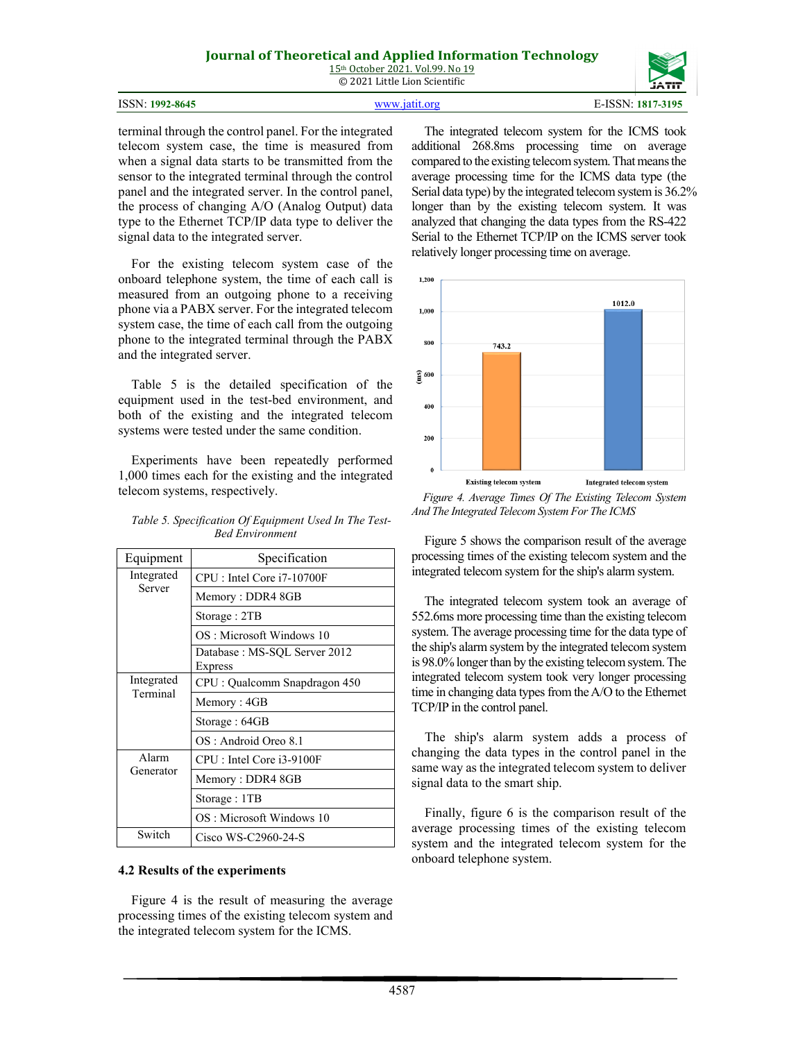# **Journal of Theoretical and Applied Information Technology**

15th October 2021. Vol.99. No 19 © 2021 Little Lion Scientific

| ISSN: 1992-8645 | www.jatit.org | E-ISSN: 1817-3195 |
|-----------------|---------------|-------------------|

terminal through the control panel. For the integrated telecom system case, the time is measured from when a signal data starts to be transmitted from the sensor to the integrated terminal through the control panel and the integrated server. In the control panel, the process of changing A/O (Analog Output) data type to the Ethernet TCP/IP data type to deliver the signal data to the integrated server.

For the existing telecom system case of the onboard telephone system, the time of each call is measured from an outgoing phone to a receiving phone via a PABX server. For the integrated telecom system case, the time of each call from the outgoing phone to the integrated terminal through the PABX and the integrated server.

Table 5 is the detailed specification of the equipment used in the test-bed environment, and both of the existing and the integrated telecom systems were tested under the same condition.

Experiments have been repeatedly performed 1,000 times each for the existing and the integrated telecom systems, respectively.

| Table 5. Specification Of Equipment Used In The Test- |  |
|-------------------------------------------------------|--|
| <b>Bed Environment</b>                                |  |

| Equipment              | Specification                                   |
|------------------------|-------------------------------------------------|
| Integrated<br>Server   | CPU : Intel Core i7-10700F                      |
|                        | Memory: DDR4 8GB                                |
|                        | Storage: 2TB                                    |
|                        | OS: Microsoft Windows 10                        |
|                        | Database : MS-SQL Server 2012<br><b>Express</b> |
| Integrated<br>Terminal | CPU: Qualcomm Snapdragon 450                    |
|                        | Memory: 4GB                                     |
|                        | Storage: 64GB                                   |
|                        | OS: Android Oreo 8.1                            |
| Alarm<br>Generator     | CPU: Intel Core i3-9100F                        |
|                        | Memory: DDR4 8GB                                |
|                        | Storage: 1TB                                    |
|                        | OS: Microsoft Windows 10                        |
| Switch                 | Cisco WS-C2960-24-S                             |

#### **4.2 Results of the experiments**

Figure 4 is the result of measuring the average processing times of the existing telecom system and the integrated telecom system for the ICMS.

The integrated telecom system for the ICMS took additional 268.8ms processing time on average compared to the existing telecom system. That means the average processing time for the ICMS data type (the Serial data type) by the integrated telecom system is 36.2% longer than by the existing telecom system. It was analyzed that changing the data types from the RS-422 Serial to the Ethernet TCP/IP on the ICMS server took relatively longer processing time on average.



*Figure 4. Average Times Of The Existing Telecom System And The Integrated Telecom System For The ICMS*

Figure 5 shows the comparison result of the average processing times of the existing telecom system and the integrated telecom system for the ship's alarm system.

The integrated telecom system took an average of 552.6ms more processing time than the existing telecom system. The average processing time for the data type of the ship's alarm system by the integrated telecom system is 98.0% longer than by the existing telecom system. The integrated telecom system took very longer processing time in changing data types from the A/O to the Ethernet TCP/IP in the control panel.

The ship's alarm system adds a process of changing the data types in the control panel in the same way as the integrated telecom system to deliver signal data to the smart ship.

Finally, figure 6 is the comparison result of the average processing times of the existing telecom system and the integrated telecom system for the onboard telephone system.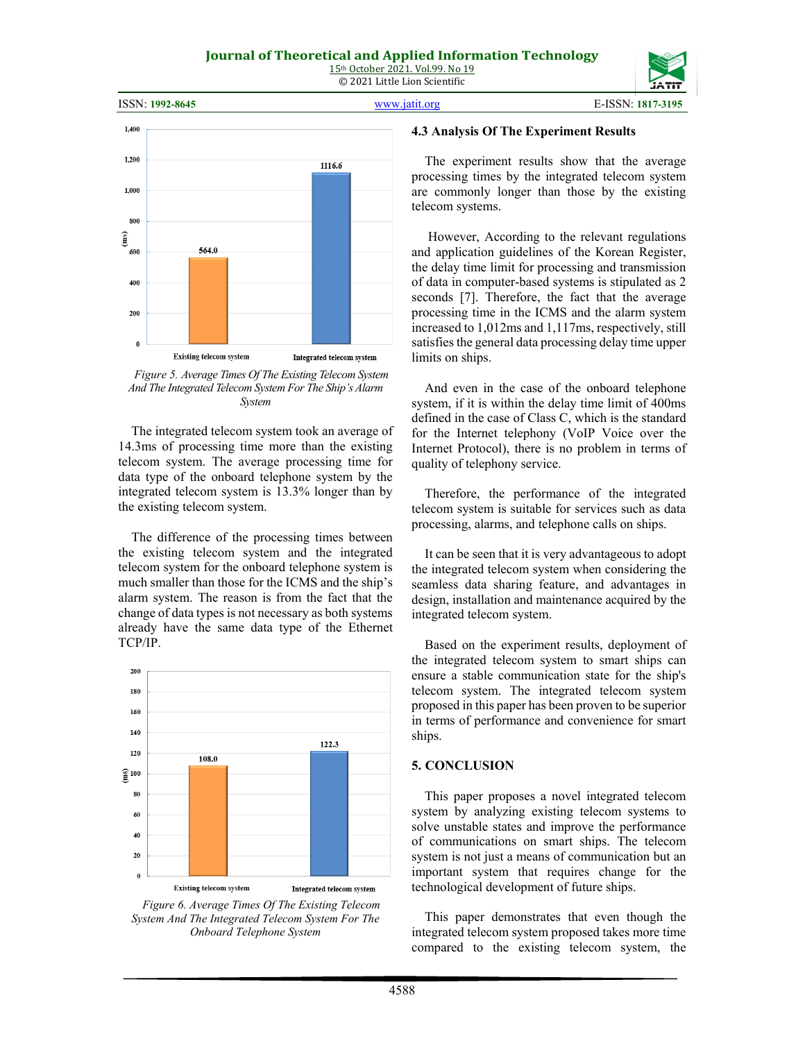

*Figure 5. Average Times Of The Existing Telecom System And The Integrated Telecom System For The Ship's Alarm System*

The integrated telecom system took an average of 14.3ms of processing time more than the existing telecom system. The average processing time for data type of the onboard telephone system by the integrated telecom system is 13.3% longer than by the existing telecom system.

The difference of the processing times between the existing telecom system and the integrated telecom system for the onboard telephone system is much smaller than those for the ICMS and the ship's alarm system. The reason is from the fact that the change of data types is not necessary as both systems already have the same data type of the Ethernet TCP/IP.



*Figure 6. Average Times Of The Existing Telecom System And The Integrated Telecom System For The Onboard Telephone System*

#### **4.3 Analysis Of The Experiment Results**

The experiment results show that the average processing times by the integrated telecom system are commonly longer than those by the existing telecom systems.

However, According to the relevant regulations and application guidelines of the Korean Register, the delay time limit for processing and transmission of data in computer-based systems is stipulated as 2 seconds [7]. Therefore, the fact that the average processing time in the ICMS and the alarm system increased to 1,012ms and 1,117ms, respectively, still satisfies the general data processing delay time upper limits on ships.

And even in the case of the onboard telephone system, if it is within the delay time limit of 400ms defined in the case of Class C, which is the standard for the Internet telephony (VoIP Voice over the Internet Protocol), there is no problem in terms of quality of telephony service.

Therefore, the performance of the integrated telecom system is suitable for services such as data processing, alarms, and telephone calls on ships.

It can be seen that it is very advantageous to adopt the integrated telecom system when considering the seamless data sharing feature, and advantages in design, installation and maintenance acquired by the integrated telecom system.

Based on the experiment results, deployment of the integrated telecom system to smart ships can ensure a stable communication state for the ship's telecom system. The integrated telecom system proposed in this paper has been proven to be superior in terms of performance and convenience for smart ships.

#### **5. CONCLUSION**

This paper proposes a novel integrated telecom system by analyzing existing telecom systems to solve unstable states and improve the performance of communications on smart ships. The telecom system is not just a means of communication but an important system that requires change for the technological development of future ships.

This paper demonstrates that even though the integrated telecom system proposed takes more time compared to the existing telecom system, the